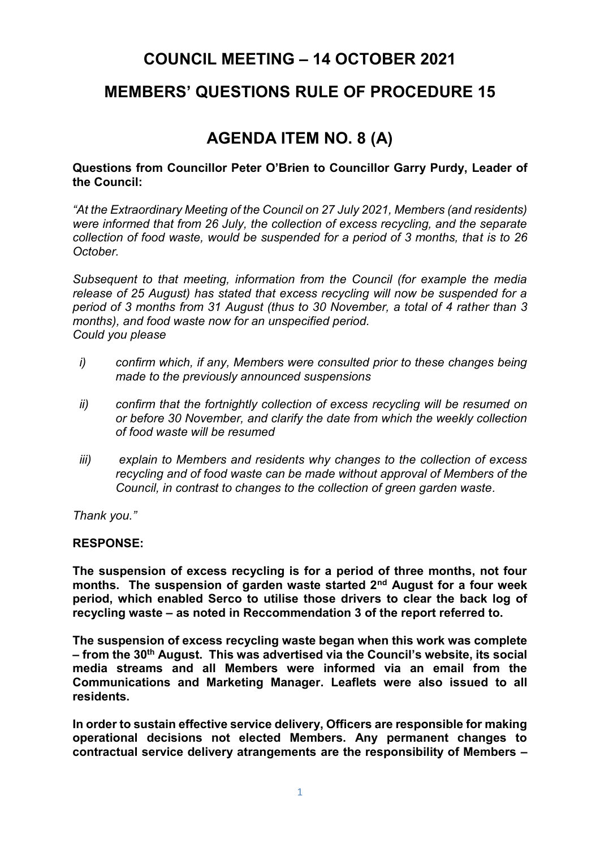### **COUNCIL MEETING – 14 OCTOBER 2021**

### **MEMBERS' QUESTIONS RULE OF PROCEDURE 15**

## **AGENDA ITEM NO. 8 (A)**

### **Questions from Councillor Peter O'Brien to Councillor Garry Purdy, Leader of the Council:**

*"At the Extraordinary Meeting of the Council on 27 July 2021, Members (and residents) were informed that from 26 July, the collection of excess recycling, and the separate collection of food waste, would be suspended for a period of 3 months, that is to 26 October.*

*Subsequent to that meeting, information from the Council (for example the media release of 25 August) has stated that excess recycling will now be suspended for a period of 3 months from 31 August (thus to 30 November, a total of 4 rather than 3 months), and food waste now for an unspecified period. Could you please*

- *i) confirm which, if any, Members were consulted prior to these changes being made to the previously announced suspensions*
- *ii) confirm that the fortnightly collection of excess recycling will be resumed on or before 30 November, and clarify the date from which the weekly collection of food waste will be resumed*
- *iii) explain to Members and residents why changes to the collection of excess recycling and of food waste can be made without approval of Members of the Council, in contrast to changes to the collection of green garden waste.*

*Thank you."*

#### **RESPONSE:**

**The suspension of excess recycling is for a period of three months, not four months. The suspension of garden waste started 2nd August for a four week period, which enabled Serco to utilise those drivers to clear the back log of recycling waste – as noted in Reccommendation 3 of the report referred to.**

**The suspension of excess recycling waste began when this work was complete – from the 30th August. This was advertised via the Council's website, its social media streams and all Members were informed via an email from the Communications and Marketing Manager. Leaflets were also issued to all residents.**

**In order to sustain effective service delivery, Officers are responsible for making operational decisions not elected Members. Any permanent changes to contractual service delivery atrangements are the responsibility of Members –**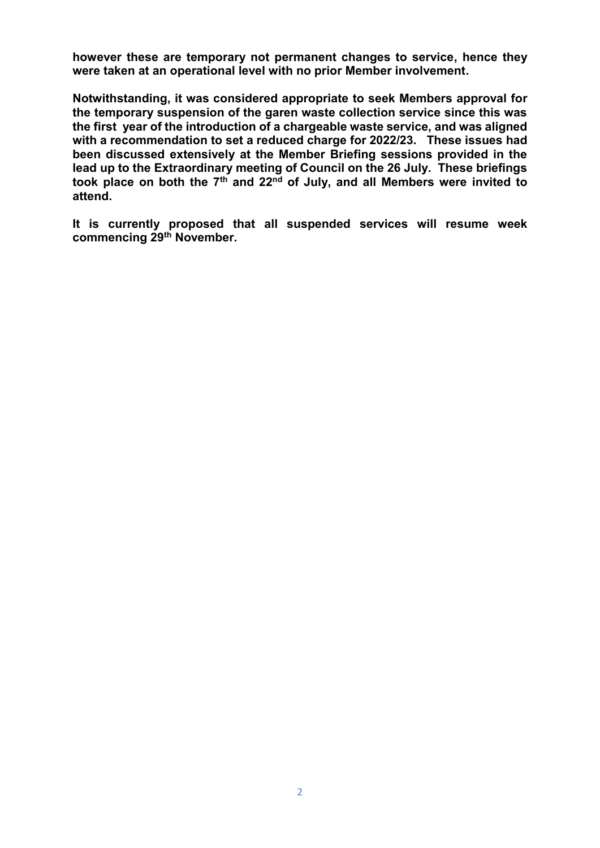**however these are temporary not permanent changes to service, hence they were taken at an operational level with no prior Member involvement.** 

**Notwithstanding, it was considered appropriate to seek Members approval for the temporary suspension of the garen waste collection service since this was the first year of the introduction of a chargeable waste service, and was aligned with a recommendation to set a reduced charge for 2022/23. These issues had been discussed extensively at the Member Briefing sessions provided in the lead up to the Extraordinary meeting of Council on the 26 July. These briefings took place on both the 7th and 22nd of July, and all Members were invited to attend.**

**It is currently proposed that all suspended services will resume week commencing 29th November.**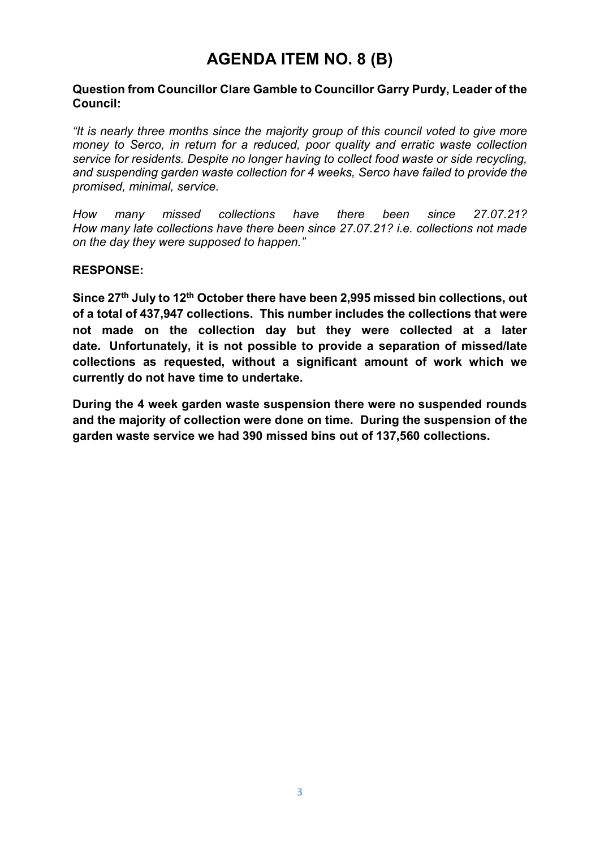## **AGENDA ITEM NO. 8 (B)**

#### **Question from Councillor Clare Gamble to Councillor Garry Purdy, Leader of the Council:**

*"It is nearly three months since the majority group of this council voted to give more money to Serco, in return for a reduced, poor quality and erratic waste collection service for residents. Despite no longer having to collect food waste or side recycling, and suspending garden waste collection for 4 weeks, Serco have failed to provide the promised, minimal, service.*

*How many missed collections have there been since 27.07.21? How many late collections have there been since 27.07.21? i.e. collections not made on the day they were supposed to happen."*

#### **RESPONSE:**

**Since 27th July to 12th October there have been 2,995 missed bin collections, out of a total of 437,947 collections. This number includes the collections that were not made on the collection day but they were collected at a later date. Unfortunately, it is not possible to provide a separation of missed/late collections as requested, without a significant amount of work which we currently do not have time to undertake.**

**During the 4 week garden waste suspension there were no suspended rounds and the majority of collection were done on time. During the suspension of the garden waste service we had 390 missed bins out of 137,560 collections.**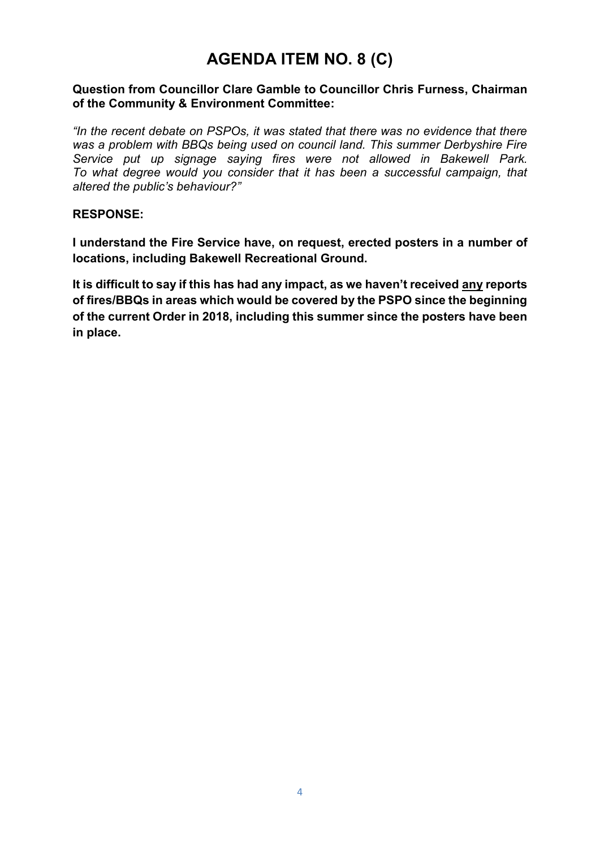# **AGENDA ITEM NO. 8 (C)**

#### **Question from Councillor Clare Gamble to Councillor Chris Furness, Chairman of the Community & Environment Committee:**

*"In the recent debate on PSPOs, it was stated that there was no evidence that there was a problem with BBQs being used on council land. This summer Derbyshire Fire Service put up signage saying fires were not allowed in Bakewell Park. To what degree would you consider that it has been a successful campaign, that altered the public's behaviour?"*

#### **RESPONSE:**

**I understand the Fire Service have, on request, erected posters in a number of locations, including Bakewell Recreational Ground.**

**It is difficult to say if this has had any impact, as we haven't received any reports of fires/BBQs in areas which would be covered by the PSPO since the beginning of the current Order in 2018, including this summer since the posters have been in place.**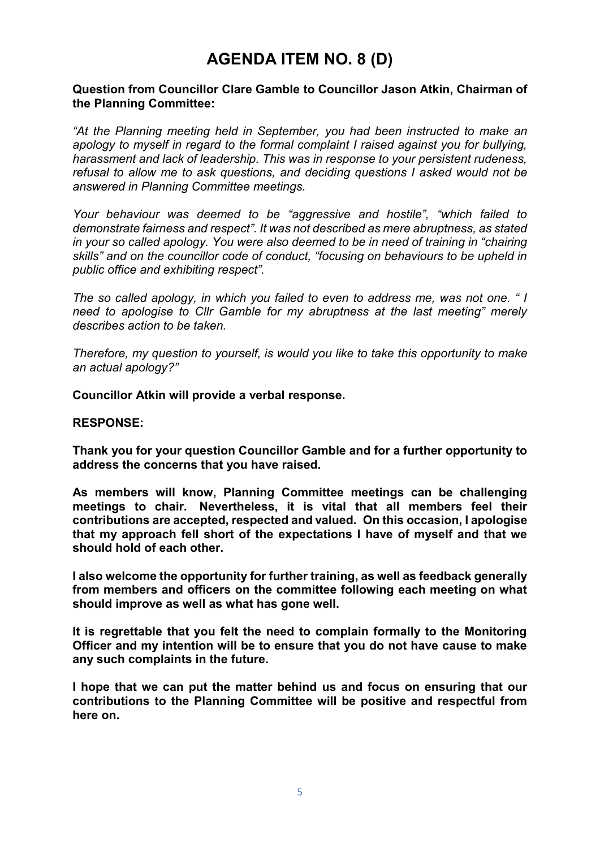## **AGENDA ITEM NO. 8 (D)**

#### **Question from Councillor Clare Gamble to Councillor Jason Atkin, Chairman of the Planning Committee:**

*"At the Planning meeting held in September, you had been instructed to make an apology to myself in regard to the formal complaint I raised against you for bullying, harassment and lack of leadership. This was in response to your persistent rudeness, refusal to allow me to ask questions, and deciding questions I asked would not be answered in Planning Committee meetings.*

*Your behaviour was deemed to be "aggressive and hostile", "which failed to demonstrate fairness and respect". It was not described as mere abruptness, as stated in your so called apology. You were also deemed to be in need of training in "chairing skills" and on the councillor code of conduct, "focusing on behaviours to be upheld in public office and exhibiting respect".*

*The so called apology, in which you failed to even to address me, was not one. " I need to apologise to Cllr Gamble for my abruptness at the last meeting" merely describes action to be taken.*

*Therefore, my question to yourself, is would you like to take this opportunity to make an actual apology?"*

**Councillor Atkin will provide a verbal response.**

#### **RESPONSE:**

**Thank you for your question Councillor Gamble and for a further opportunity to address the concerns that you have raised.** 

**As members will know, Planning Committee meetings can be challenging meetings to chair. Nevertheless, it is vital that all members feel their contributions are accepted, respected and valued. On this occasion, I apologise that my approach fell short of the expectations I have of myself and that we should hold of each other.**

**I also welcome the opportunity for further training, as well as feedback generally from members and officers on the committee following each meeting on what should improve as well as what has gone well.**

**It is regrettable that you felt the need to complain formally to the Monitoring Officer and my intention will be to ensure that you do not have cause to make any such complaints in the future.** 

**I hope that we can put the matter behind us and focus on ensuring that our contributions to the Planning Committee will be positive and respectful from here on.**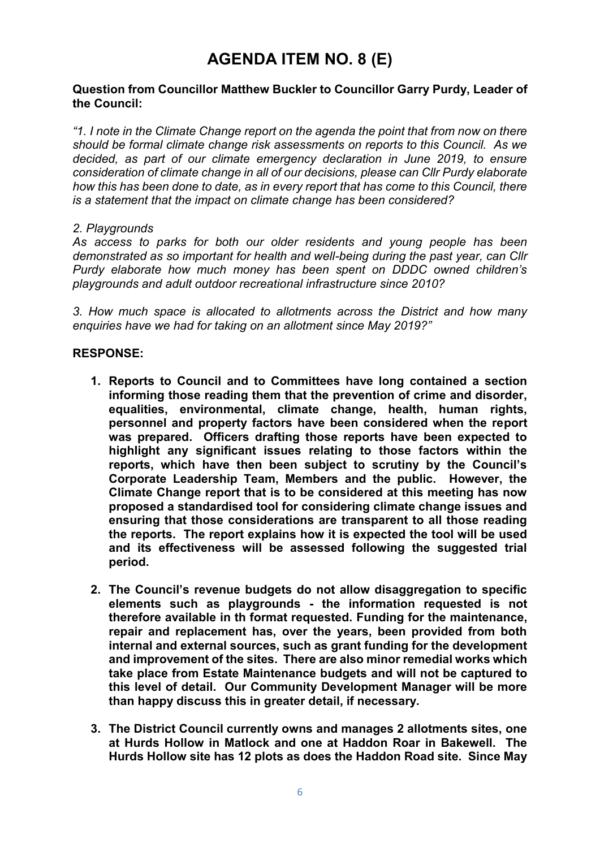# **AGENDA ITEM NO. 8 (E)**

#### **Question from Councillor Matthew Buckler to Councillor Garry Purdy, Leader of the Council:**

*"1. I note in the Climate Change report on the agenda the point that from now on there should be formal climate change risk assessments on reports to this Council. As we decided, as part of our climate emergency declaration in June 2019, to ensure consideration of climate change in all of our decisions, please can Cllr Purdy elaborate how this has been done to date, as in every report that has come to this Council, there is a statement that the impact on climate change has been considered?*

#### *2. Playgrounds*

*As access to parks for both our older residents and young people has been demonstrated as so important for health and well-being during the past year, can Cllr Purdy elaborate how much money has been spent on DDDC owned children's playgrounds and adult outdoor recreational infrastructure since 2010?* 

*3. How much space is allocated to allotments across the District and how many enquiries have we had for taking on an allotment since May 2019?"*

#### **RESPONSE:**

- **1. Reports to Council and to Committees have long contained a section informing those reading them that the prevention of crime and disorder, equalities, environmental, climate change, health, human rights, personnel and property factors have been considered when the report was prepared. Officers drafting those reports have been expected to highlight any significant issues relating to those factors within the reports, which have then been subject to scrutiny by the Council's Corporate Leadership Team, Members and the public. However, the Climate Change report that is to be considered at this meeting has now proposed a standardised tool for considering climate change issues and ensuring that those considerations are transparent to all those reading the reports. The report explains how it is expected the tool will be used and its effectiveness will be assessed following the suggested trial period.**
- **2. The Council's revenue budgets do not allow disaggregation to specific elements such as playgrounds - the information requested is not therefore available in th format requested. Funding for the maintenance, repair and replacement has, over the years, been provided from both internal and external sources, such as grant funding for the development and improvement of the sites. There are also minor remedial works which take place from Estate Maintenance budgets and will not be captured to this level of detail. Our Community Development Manager will be more than happy discuss this in greater detail, if necessary.**
- **3. The District Council currently owns and manages 2 allotments sites, one at Hurds Hollow in Matlock and one at Haddon Roar in Bakewell. The Hurds Hollow site has 12 plots as does the Haddon Road site. Since May**